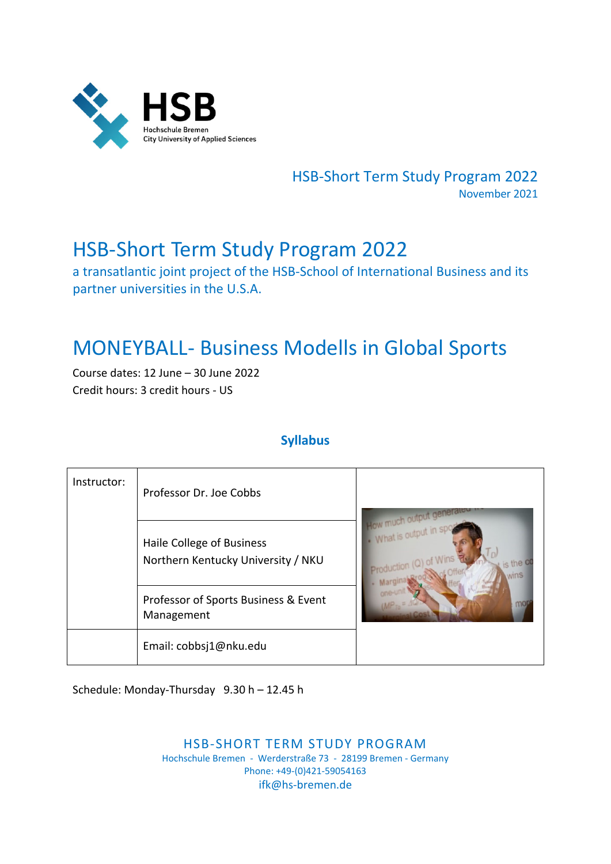

HSB‐Short Term Study Program 2022 November 2021

# HSB‐Short Term Study Program 2022

a transatlantic joint project of the HSB‐School of International Business and its partner universities in the U.S.A.

# MONEYBALL‐ Business Modells in Global Sports

Course dates: 12 June – 30 June 2022 Credit hours: 3 credit hours ‐ US

# **Syllabus**

| Instructor: | Professor Dr. Joe Cobbs                                         |                 |  |
|-------------|-----------------------------------------------------------------|-----------------|--|
|             | Haile College of Business<br>Northern Kentucky University / NKU | MM <sub>S</sub> |  |
|             | Professor of Sports Business & Event<br>Management              |                 |  |
|             | Email: cobbsj1@nku.edu                                          |                 |  |

Schedule: Monday‐Thursday 9.30 h – 12.45 h

HSB‐SHORT TERM STUDY PROGRAM Hochschule Bremen ‐ Werderstraße 73 ‐ 28199 Bremen ‐ Germany Phone: +49‐(0)421‐59054163 ifk@hs‐bremen.de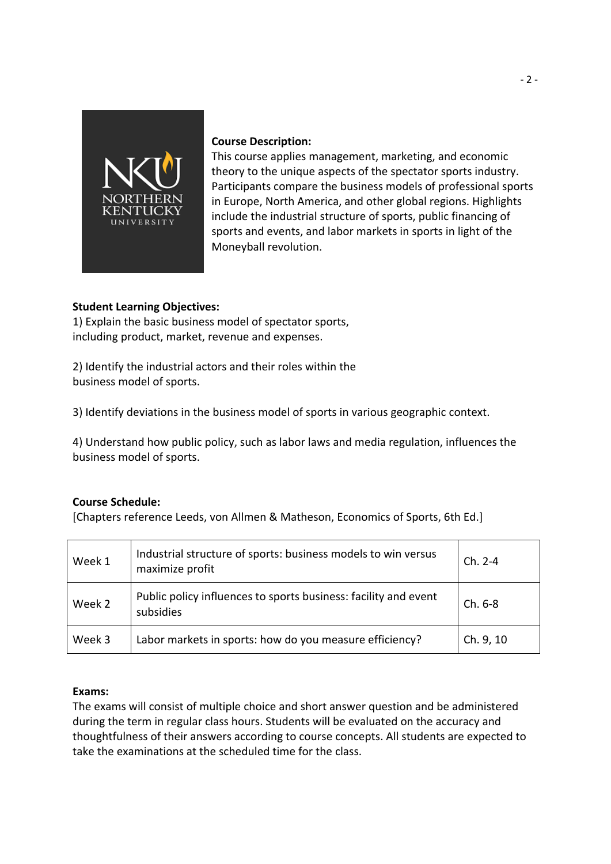

### **Course Description:**

This course applies management, marketing, and economic theory to the unique aspects of the spectator sports industry. Participants compare the business models of professional sports in Europe, North America, and other global regions. Highlights include the industrial structure of sports, public financing of sports and events, and labor markets in sports in light of the Moneyball revolution.

### **Student Learning Objectives:**

1) Explain the basic business model of spectator sports, including product, market, revenue and expenses.

2) Identify the industrial actors and their roles within the business model of sports.

3) Identify deviations in the business model of sports in various geographic context.

4) Understand how public policy, such as labor laws and media regulation, influences the business model of sports.

## **Course Schedule:**

[Chapters reference Leeds, von Allmen & Matheson, Economics of Sports, 6th Ed.]

| Week 1 | Industrial structure of sports: business models to win versus<br>maximize profit | $Ch. 2-4$ |
|--------|----------------------------------------------------------------------------------|-----------|
| Week 2 | Public policy influences to sports business: facility and event<br>subsidies     | $Ch. 6-8$ |
| Week 3 | Labor markets in sports: how do you measure efficiency?                          | Ch. 9, 10 |

#### **Exams:**

The exams will consist of multiple choice and short answer question and be administered during the term in regular class hours. Students will be evaluated on the accuracy and thoughtfulness of their answers according to course concepts. All students are expected to take the examinations at the scheduled time for the class.